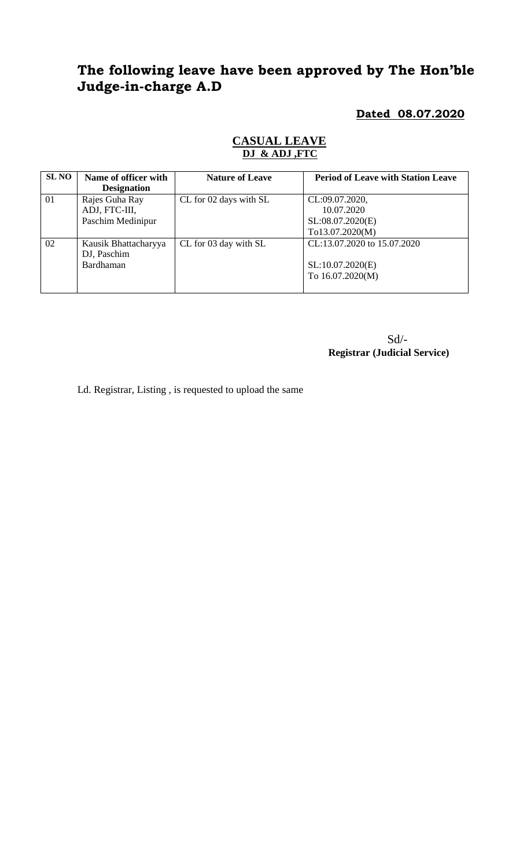# **The following leave have been approved by The Hon'ble Judge-in-charge A.D**

**Dated 08.07.2020**

| SL NO | Name of officer with<br><b>Designation</b>           | <b>Nature of Leave</b> | <b>Period of Leave with Station Leave</b>                           |
|-------|------------------------------------------------------|------------------------|---------------------------------------------------------------------|
| 01    | Rajes Guha Ray<br>ADJ, FTC-III,<br>Paschim Medinipur | CL for 02 days with SL | CL:09.07.2020,<br>10.07.2020<br>SL:08.07.2020(E)<br>To13.07.2020(M) |
| 02    | Kausik Bhattacharyya<br>DJ, Paschim<br>Bardhaman     | CL for 03 day with SL  | CL:13.07.2020 to 15.07.2020<br>SL:10.07.2020(E)<br>To 16.07.2020(M) |

## **CASUAL LEAVE DJ & ADJ ,FTC**

Sd/- **Registrar (Judicial Service)**

Ld. Registrar, Listing , is requested to upload the same